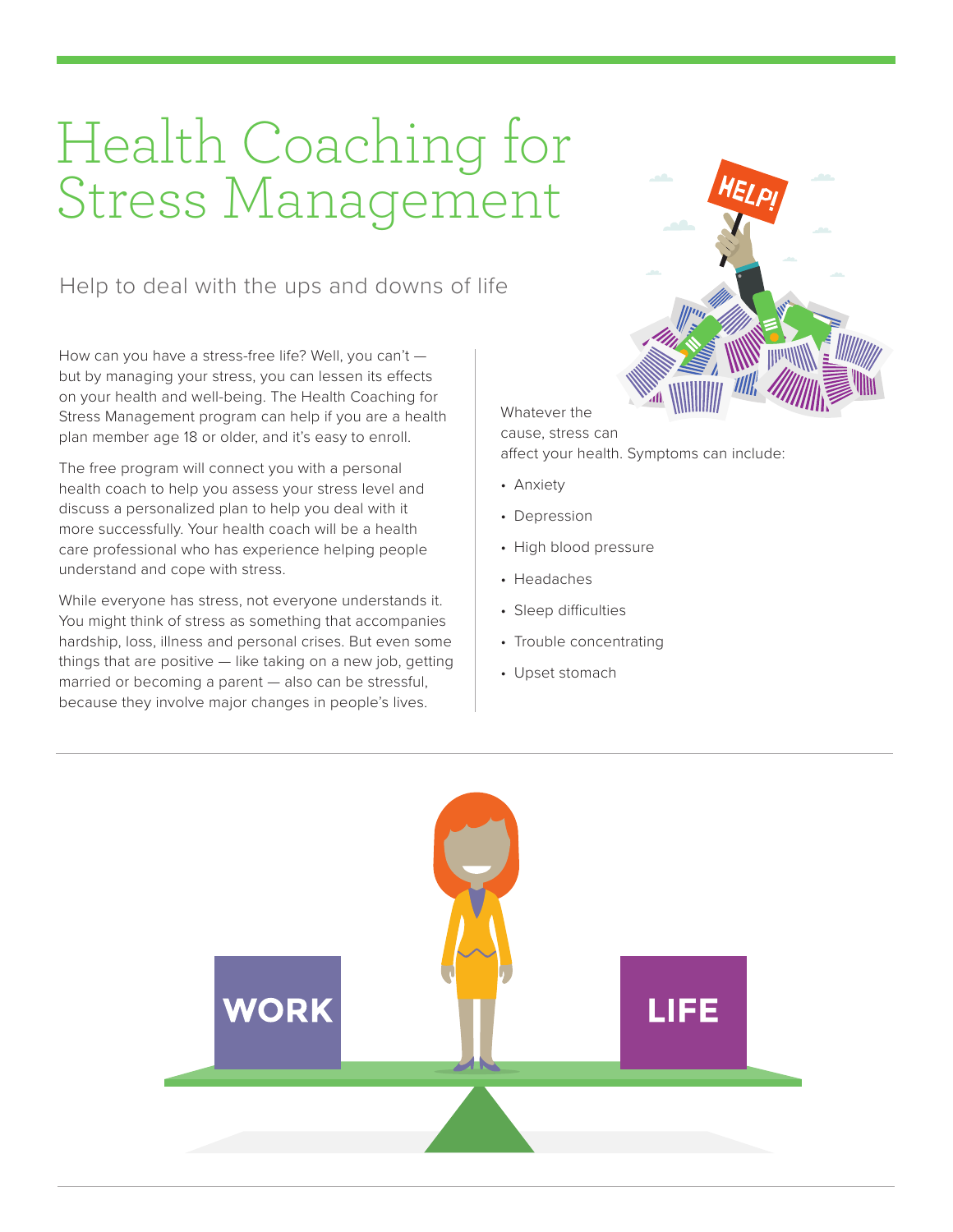# Health Coaching for Stress Management

Help to deal with the ups and downs of life

How can you have a stress-free life? Well, you can't but by managing your stress, you can lessen its effects on your health and well-being. The Health Coaching for Stress Management program can help if you are a health plan member age 18 or older, and it's easy to enroll.

The free program will connect you with a personal health coach to help you assess your stress level and discuss a personalized plan to help you deal with it more successfully. Your health coach will be a health care professional who has experience helping people understand and cope with stress.

While everyone has stress, not everyone understands it. You might think of stress as something that accompanies hardship, loss, illness and personal crises. But even some things that are positive — like taking on a new job, getting married or becoming a parent — also can be stressful, because they involve major changes in people's lives.



Whatever the cause, stress can affect your health. Symptoms can include:

- Anxiety
- Depression
- High blood pressure
- Headaches
- Sleep difficulties
- Trouble concentrating
- Upset stomach